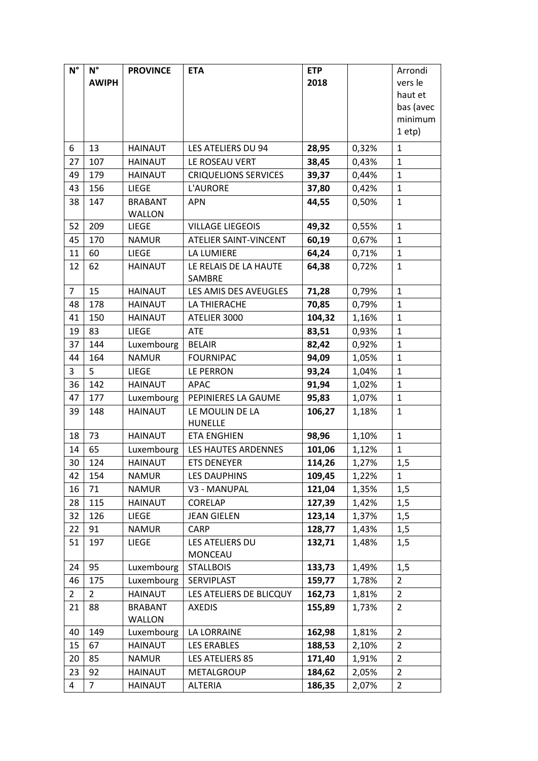| $N^{\circ}$    | $N^{\circ}$<br><b>AWIPH</b> | <b>PROVINCE</b> | <b>ETA</b>                        | <b>ETP</b><br>2018 |       | Arrondi<br>vers le<br>haut et<br>bas (avec |
|----------------|-----------------------------|-----------------|-----------------------------------|--------------------|-------|--------------------------------------------|
|                |                             |                 |                                   |                    |       | minimum<br>1 etp                           |
| 6              | 13                          | <b>HAINAUT</b>  | LES ATELIERS DU 94                | 28,95              | 0,32% | $\mathbf{1}$                               |
| 27             | 107                         | <b>HAINAUT</b>  | LE ROSEAU VERT                    | 38,45              | 0,43% | $\mathbf{1}$                               |
| 49             | 179                         | <b>HAINAUT</b>  | <b>CRIQUELIONS SERVICES</b>       | 39,37              | 0,44% | $\mathbf{1}$                               |
| 43             | 156                         | LIEGE           | <b>L'AURORE</b>                   | 37,80              | 0,42% | $\mathbf 1$                                |
| 38             | 147                         | <b>BRABANT</b>  | <b>APN</b>                        | 44,55              | 0,50% | $\mathbf{1}$                               |
|                |                             | WALLON          |                                   |                    |       |                                            |
| 52             | 209                         | LIEGE           | <b>VILLAGE LIEGEOIS</b>           | 49,32              | 0,55% | $\mathbf 1$                                |
| 45             | 170                         | <b>NAMUR</b>    | ATELIER SAINT-VINCENT             | 60,19              | 0,67% | $\mathbf{1}$                               |
| 11             | 60                          | <b>LIEGE</b>    | LA LUMIERE                        | 64,24              | 0,71% | $\mathbf{1}$                               |
| 12             | 62                          | <b>HAINAUT</b>  | LE RELAIS DE LA HAUTE<br>SAMBRE   | 64,38              | 0,72% | $\mathbf{1}$                               |
| $\overline{7}$ | 15                          | <b>HAINAUT</b>  | LES AMIS DES AVEUGLES             | 71,28              | 0,79% | $\mathbf{1}$                               |
| 48             | 178                         | <b>HAINAUT</b>  | LA THIERACHE                      | 70,85              | 0,79% | $\mathbf{1}$                               |
| 41             | 150                         | <b>HAINAUT</b>  | ATELIER 3000                      | 104,32             | 1,16% | $\mathbf{1}$                               |
| 19             | 83                          | <b>LIEGE</b>    | ATE                               | 83,51              | 0,93% | $\mathbf{1}$                               |
| 37             | 144                         | Luxembourg      | <b>BELAIR</b>                     | 82,42              | 0,92% | $\mathbf{1}$                               |
| 44             | 164                         | <b>NAMUR</b>    | <b>FOURNIPAC</b>                  | 94,09              | 1,05% | $\mathbf{1}$                               |
| 3              | 5                           | <b>LIEGE</b>    | LE PERRON                         | 93,24              | 1,04% | $\mathbf{1}$                               |
| 36             | 142                         | <b>HAINAUT</b>  | <b>APAC</b>                       | 91,94              | 1,02% | $\mathbf{1}$                               |
| 47             | 177                         | Luxembourg      | PEPINIERES LA GAUME               | 95,83              | 1,07% | $\mathbf{1}$                               |
| 39             | 148                         | <b>HAINAUT</b>  | LE MOULIN DE LA<br><b>HUNELLE</b> | 106,27             | 1,18% | $\mathbf{1}$                               |
| 18             | 73                          | <b>HAINAUT</b>  | <b>ETA ENGHIEN</b>                | 98,96              | 1,10% | $\mathbf{1}$                               |
| 14             | 65                          | Luxembourg      | LES HAUTES ARDENNES               | 101,06             | 1,12% | $\mathbf{1}$                               |
| 30             | 124                         | <b>HAINAUT</b>  | <b>ETS DENEYER</b>                | 114,26             | 1,27% | 1,5                                        |
| 42             | 154                         | <b>NAMUR</b>    | <b>LES DAUPHINS</b>               | 109,45             | 1,22% | 1                                          |
| 16             | 71                          | <b>NAMUR</b>    | V3 - MANUPAL                      | 121,04             | 1,35% | 1,5                                        |
| 28             | 115                         | <b>HAINAUT</b>  | CORELAP                           | 127,39             | 1,42% | 1,5                                        |
| 32             | 126                         | LIEGE           | <b>JEAN GIELEN</b>                | 123,14             | 1,37% | 1,5                                        |
| 22             | 91                          | <b>NAMUR</b>    | CARP                              | 128,77             | 1,43% | 1,5                                        |
| 51             | 197                         | LIEGE           | LES ATELIERS DU<br>MONCEAU        | 132,71             | 1,48% | 1,5                                        |
| 24             | 95                          | Luxembourg      | <b>STALLBOIS</b>                  | 133,73             | 1,49% | 1,5                                        |
| 46             | 175                         | Luxembourg      | SERVIPLAST                        | 159,77             | 1,78% | $\overline{2}$                             |
| $\overline{2}$ | $\overline{2}$              | <b>HAINAUT</b>  | LES ATELIERS DE BLICQUY           | 162,73             | 1,81% | $\overline{2}$                             |
| 21             | 88                          | <b>BRABANT</b>  | <b>AXEDIS</b>                     | 155,89             | 1,73% | 2                                          |
|                |                             | WALLON          |                                   |                    |       |                                            |
| 40             | 149                         | Luxembourg      | LA LORRAINE                       | 162,98             | 1,81% | $\overline{2}$                             |
| 15             | 67                          | <b>HAINAUT</b>  | <b>LES ERABLES</b>                | 188,53             | 2,10% | $\overline{2}$                             |
| 20             | 85                          | <b>NAMUR</b>    | LES ATELIERS 85                   | 171,40             | 1,91% | $\overline{2}$                             |
| 23             | 92                          | HAINAUT         | METALGROUP                        | 184,62             | 2,05% | 2                                          |
| 4              | $\overline{7}$              | <b>HAINAUT</b>  | ALTERIA                           | 186,35             | 2,07% | 2                                          |